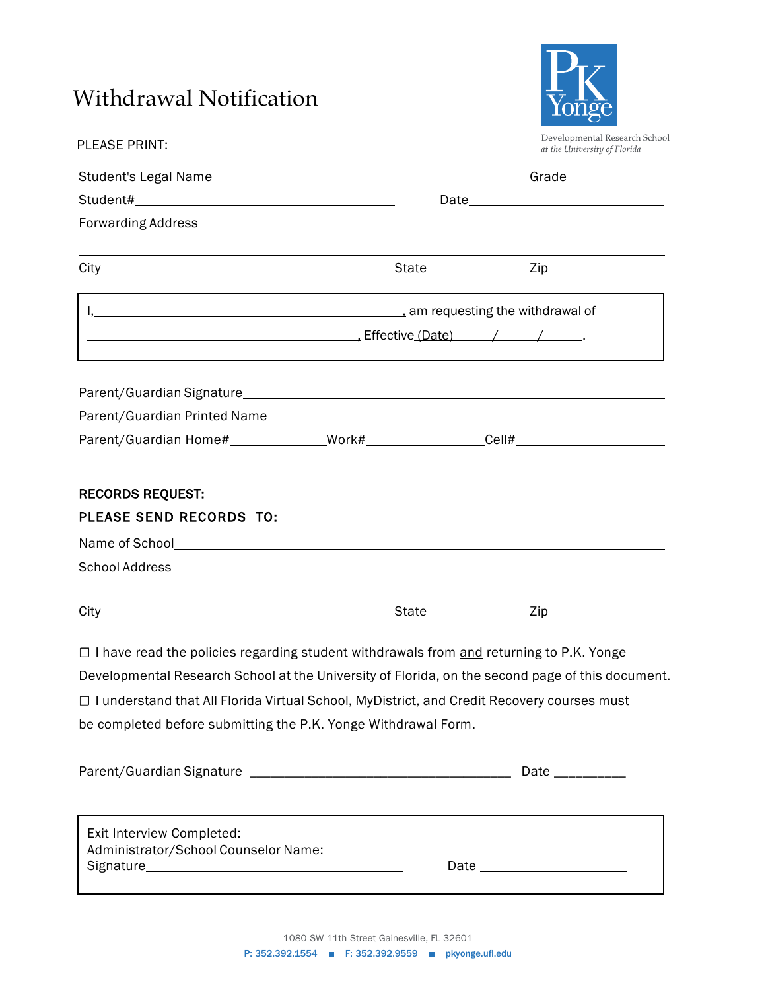## Withdrawal Notification

PLEASE PRINT:



Developmental Research School<br>at the University of Florida

| City                                                                                                                                                                                                                           | State        | Zip                                                                                              |
|--------------------------------------------------------------------------------------------------------------------------------------------------------------------------------------------------------------------------------|--------------|--------------------------------------------------------------------------------------------------|
|                                                                                                                                                                                                                                |              |                                                                                                  |
|                                                                                                                                                                                                                                |              |                                                                                                  |
|                                                                                                                                                                                                                                |              |                                                                                                  |
|                                                                                                                                                                                                                                |              |                                                                                                  |
|                                                                                                                                                                                                                                |              |                                                                                                  |
| <b>RECORDS REQUEST:</b>                                                                                                                                                                                                        |              |                                                                                                  |
| PLEASE SEND RECORDS TO:                                                                                                                                                                                                        |              |                                                                                                  |
| Name of School example and the state of School and the state of School and the state of School and the state of the state of the state of the state of the state of the state of the state of the state of the state of the st |              |                                                                                                  |
|                                                                                                                                                                                                                                |              |                                                                                                  |
| City                                                                                                                                                                                                                           | <b>State</b> | Zip                                                                                              |
| □ I have read the policies regarding student withdrawals from and returning to P.K. Yonge                                                                                                                                      |              |                                                                                                  |
|                                                                                                                                                                                                                                |              | Developmental Research School at the University of Florida, on the second page of this document. |
| □ I understand that All Florida Virtual School, MyDistrict, and Credit Recovery courses must                                                                                                                                   |              |                                                                                                  |
| be completed before submitting the P.K. Yonge Withdrawal Form.                                                                                                                                                                 |              |                                                                                                  |
|                                                                                                                                                                                                                                |              |                                                                                                  |
|                                                                                                                                                                                                                                |              | Date __________                                                                                  |
|                                                                                                                                                                                                                                |              |                                                                                                  |
| Exit Interview Completed:                                                                                                                                                                                                      |              |                                                                                                  |
|                                                                                                                                                                                                                                |              |                                                                                                  |
|                                                                                                                                                                                                                                |              |                                                                                                  |